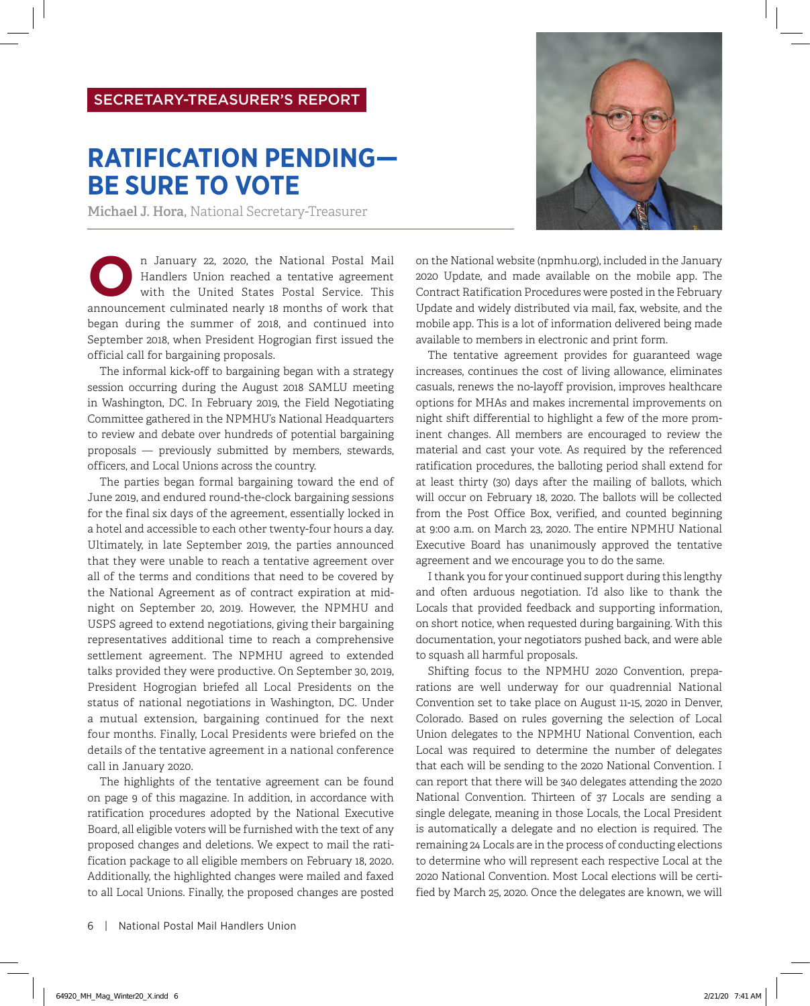## SECRETARY-TREASURER'S REPORT

## **RATIFICATION PENDING— BE SURE TO VOTE**

**Michael J. Hora,** National Secretary-Treasurer

n January 22, 2020, the National Postal Mail<br>Handlers Union reached a tentative agreement<br>with the United States Postal Service. This<br>announcement culminated postly 18 months of work that Handlers Union reached a tentative agreement with the United States Postal Service. This announcement culminated nearly 18 months of work that began during the summer of 2018, and continued into September 2018, when President Hogrogian first issued the official call for bargaining proposals.

The informal kick-off to bargaining began with a strategy session occurring during the August 2018 SAMLU meeting in Washington, DC. In February 2019, the Field Negotiating Committee gathered in the NPMHU's National Headquarters to review and debate over hundreds of potential bargaining proposals — previously submitted by members, stewards, officers, and Local Unions across the country.

The parties began formal bargaining toward the end of June 2019, and endured round-the-clock bargaining sessions for the final six days of the agreement, essentially locked in a hotel and accessible to each other twenty-four hours a day. Ultimately, in late September 2019, the parties announced that they were unable to reach a tentative agreement over all of the terms and conditions that need to be covered by the National Agreement as of contract expiration at midnight on September 20, 2019. However, the NPMHU and USPS agreed to extend negotiations, giving their bargaining representatives additional time to reach a comprehensive settlement agreement. The NPMHU agreed to extended talks provided they were productive. On September 30, 2019, President Hogrogian briefed all Local Presidents on the status of national negotiations in Washington, DC. Under a mutual extension, bargaining continued for the next four months. Finally, Local Presidents were briefed on the details of the tentative agreement in a national conference call in January 2020.

The highlights of the tentative agreement can be found on page 9 of this magazine. In addition, in accordance with ratification procedures adopted by the National Executive Board, all eligible voters will be furnished with the text of any proposed changes and deletions. We expect to mail the ratification package to all eligible members on February 18, 2020. Additionally, the highlighted changes were mailed and faxed to all Local Unions. Finally, the proposed changes are posted

6|National Postal Mail Handlers Union



on the National website (npmhu.org), included in the January 2020 Update, and made available on the mobile app. The Contract Ratification Procedures were posted in the February Update and widely distributed via mail, fax, website, and the mobile app. This is a lot of information delivered being made available to members in electronic and print form.

The tentative agreement provides for guaranteed wage increases, continues the cost of living allowance, eliminates casuals, renews the no-layoff provision, improves healthcare options for MHAs and makes incremental improvements on night shift differential to highlight a few of the more prominent changes. All members are encouraged to review the material and cast your vote. As required by the referenced ratification procedures, the balloting period shall extend for at least thirty (30) days after the mailing of ballots, which will occur on February 18, 2020. The ballots will be collected from the Post Office Box, verified, and counted beginning at 9:00 a.m. on March 23, 2020. The entire NPMHU National Executive Board has unanimously approved the tentative agreement and we encourage you to do the same.

I thank you for your continued support during this lengthy and often arduous negotiation. I'd also like to thank the Locals that provided feedback and supporting information, on short notice, when requested during bargaining. With this documentation, your negotiators pushed back, and were able to squash all harmful proposals.

Shifting focus to the NPMHU 2020 Convention, preparations are well underway for our quadrennial National Convention set to take place on August 11-15, 2020 in Denver, Colorado. Based on rules governing the selection of Local Union delegates to the NPMHU National Convention, each Local was required to determine the number of delegates that each will be sending to the 2020 National Convention. I can report that there will be 340 delegates attending the 2020 National Convention. Thirteen of 37 Locals are sending a single delegate, meaning in those Locals, the Local President is automatically a delegate and no election is required. The remaining 24 Locals are in the process of conducting elections to determine who will represent each respective Local at the 2020 National Convention. Most Local elections will be certified by March 25, 2020. Once the delegates are known, we will